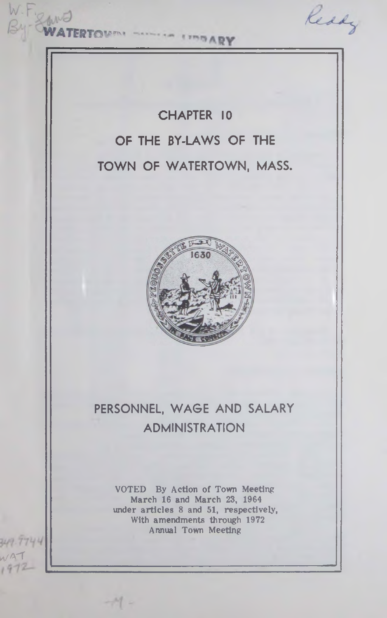W.F. SAME Ready **ERTOVAN** CHAPTER 10 OF THE BY-LAWS OF THE TOWN OF WATERTOWN, MASS. PERSONNEL, WAGE AND SALARY ADMINISTRATION VOTED By Action of Town Meeting March 16 and March 23, 1964 under articles 8 and 51, respectively, With amendments through 1972 Annual Town Meeting 744  $NAT$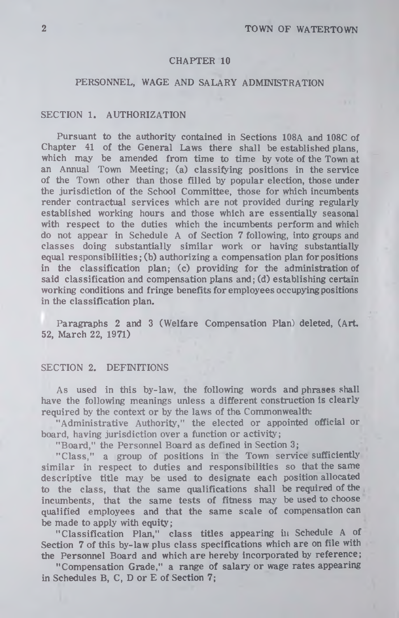#### CHAPTER 10

## PERSONNEL, WAGE AND SALARY ADMINISTRATION

## SECTION 1. AUTHORIZATION

Pursuant to the authority contained in Sections 108A and 108C of Chapter 41 of the General Laws there shall be established plans, which may be amended from time to time by vote of the Town at an Annual Town Meeting; (a) classifying positions in the service of the Town other than those filled by popular election, those under the jurisdiction of the School Committee, those for which incumbents render contractual services which are not provided during regularly established working hours and those which are essentially seasonal with respect to the duties which the incumbents perform and which do not appear in Schedule A of Section 7 following, into groups and classes doing substantially similar work or having substantially equal responsibilities; (b) authorizing a compensation plan for positions in the classification plan; (c) providing for the administration of said classification and compensation plans and; (d) establishing certain working conditions and fringe benefits for employees occupying positions in the classification plan.

Paragraphs 2 and 3 (Welfare Compensation Plan) deleted, (Art. 52, March 22, 1971)

#### SECTION 2. DEFINITIONS

As used in this by-law, the following words and phrases shall have the following meanings unless a different construction is clearly required by the context or by the laws of the Commonwealth;

"Administrative Authority," the elected or appointed official or board, having jurisdiction over a function or activity;

"Board," the Personnel Board as defined in Section 3;

"Class," a group of positions in the Town service sufficiently similar in respect to duties and responsibilities so that the same descriptive title may be used to designate each position allocated to the class, that the same qualifications shall be required of the incumbents, that the same tests of fitness may be used to choose qualified employees and that the same scale of compensation can be made to apply with equity;

"C lassification Plan," class titles appearing in Schedule A of Section 7 of this by-law plus class specifications which are on file with the Personnel Board and which are hereby incorporated by reference;

"Compensation Grade," a range of salary or wage rates appearing in Schedules B, C, D or E of Section 7;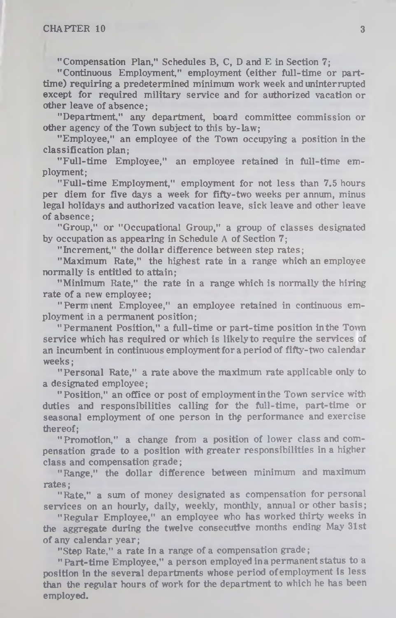"Compensation Plan," Schedules B, C, D and E in Section 7;

"Continuous Employment," employment (either full-time or parttime) requiring a predetermined minimum work week and uninterrupted except for required military service and for authorized vacation or other leave of absence;

"Department," any department, board committee commission or other agency of the Town subject to this by-law;

"Employee," an employee of the Town occupying a position in the classification plan;

"Full-time Employee," an employee retained in full-time employment;

"Full-time Employment," employment for not less than 7.5 hours per diem for five days a week for fifty-two weeks per annum, minus legal holidays and authorized vacation leave, sick leave and other leave of absence;

"Group," or "Occupational Group," a group of classes designated by occupation as appearing in Schedule A of Section 7;

"Increment," the dollar difference between step rates;

"Maximum Rate," the highest rate in a range which an employee normally is entitled to attain;

" Minimum Rate," the rate in a range which is normally the hiring rate of a new employee;

"Permanent Employee," an employee retained in continuous employment in a permanent position;

"Permanent Position," a full-time or part-time position in the Town service which has required or which is likely to require the services of an incumbent in continuous employment for a period of fifty-two calendar weeks;

"Personal Rate," a rate above the maximum rate applicable only to a designated employee;

"Position," an office or post of employment in the Town service with duties and responsibilities calling for the full-time, part-time or seasonal employment of one person in the performance and exercise thereof;

" Promotion," a change from a position of lower class and compensation grade to a position with greater responsibilities in a higher class and compensation grade;

"Range," the dollar difference between minimum and maximum rates;

"Rate," a sum of money designated as compensation for personal services on an hourly, daily, weekly, monthly, annual or other basis;

"Regular Employee," an employee who has worked thirty weeks in the aggregate during the twelve consecutive months ending May 31st of any calendar year;

"Step Rate," a rate in a range of a compensation grade;

"Part-time Employee," a person employed in a permanent status to a position in the several departments whose period of employment is less than the regular hours of work for the department to which he has been employed.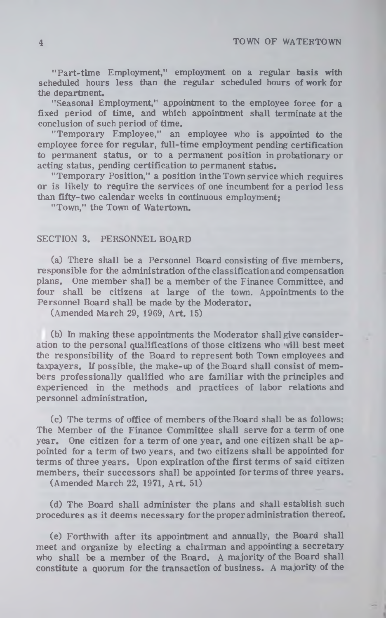"Part-time Employment," employment on a regular basis with scheduled hours less than the regular scheduled hours of work for the department.

"Seasonal Employment," appointment to the employee force for a fixed period of time, and which appointment shall terminate at the conclusion of such period of time.

"Temporary Employee," an employee who is appointed to the employee force for regular, full-time employment pending certification to permanent status, or to a permanent position in probationary or acting status, pending certification to permanent status.

"Temporary Position," a position in the Town service which requires or is likely to require the services of one incumbent for a period less than fifty-two calendar weeks in continuous employment;

"Town," the Town of Watertown.

## SECTION 3. PERSONNEL BOARD

 $(a)$  There shall be a Personnel Board consisting of five members, responsible for the administration of the classification and compensation plans. One member shall be a member of the Finance Committee, and four shall be citizens at large of the town. Appointments to the Personnel Board shall be made by the Moderator.

(Amended March 29, 1969, Art. 15)

(b) In making these appointments the Moderator shall give consideration to the personal qualifications of those citizens who will best meet the responsibility of the Board to represent both Town employees and taxpayers. If possible, the make-up of the Board shall consist of members professionally qualified who are familiar with the principles and experienced in the methods and practices of labor relations and personnel administration.

(c) The terms of office of members of the Board shall be as follows: The Member of the Finance Committee shall serve for a term of one year. One citizen for a term of one year, and one citizen shall be appointed for a term of two years, and two citizens shall be appointed for terms of three years. Upon expiration of the first terms of said citizen members, their successors shall be appointed for terms of three years.

(Amended March 22, 1971, A rt. 51)

(d) The Board shall administer the plans and shall establish such procedures as it deems necessary for the proper administration thereof.

(e) Forthwith after its appointment and annually, the Board shall meet and organize by electing a chairman and appointing a secretary who shall be a member of the Board. A majority of the Board shall constitute a quorum for the transaction of business. A majority of the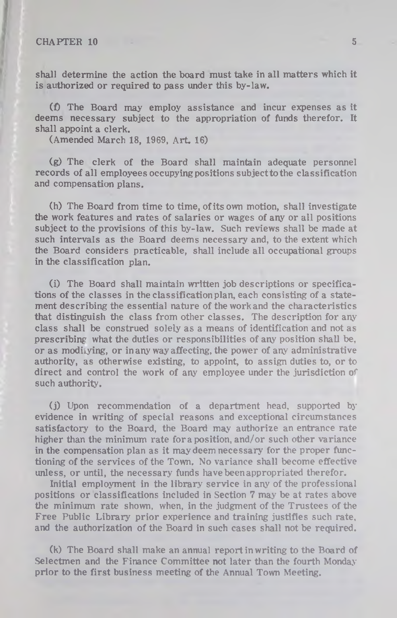shall determine the action the board must take in all matters which it is authorized or required to pass under this by-law.

*(f)* The Board may employ assistance and incur expenses as it deems necessary subject to the appropriation of funds therefor. It shall appoint a clerk.

(Amended March 18, 1969, Art. 16)

(g) The clerk of the Board shall maintain adequate personnel records of all employees occupying positions subject to the classification and compensation plans.

(h) The Board from time to time, of its own motion, shall investigate the work features and rates of salaries or wages of any or all positions subject to the provisions of this by-law. Such reviews shall be made at such intervals as the Board deems necessary and, to the extent which the Board considers practicable, shall include all occupational groups in the classification plan.

(i) The Board shall maintain written job descriptions or specifications of the classes in the classification plan, each consisting of a statement describing the essential nature of the work and the characteristies that distinguish the class from other classes. The description for any class shall be construed solely as a means of identification and not as prescribing what the duties or responsibilities of any position shall be, or as modiiying, or in any way affecting, the power of any administrative authority, as otherwise existing, to appoint, to assign duties to, or to direct and control the work of any employee under the jurisdiction of such authority.

(j) Upon recommendation of a department head, supported by evidence in writing of special reasons and exceptional circumstances satisfactory to the Board, the Board may authorize an entrance rate higher than the minimum rate for a position, and/or such other variance in the compensation plan as it may deem necessary for the proper functioning of the services of the Town. No variance shall become effective unless, or until, the necessary funds have been appropriated therefor.

Initial employment in the library service in any of the professional positions or classifications included in Section 7 may be at rates above the minimum rate shown, when, in the judgment of the Trustees of the Free Public Library prior experience and training justifies such rate, and the authorization of the Board in such cases shall not be required.

(k) The Board shall make an annual report in writing to the Board of Selectmen and the Finance Committee not later than the fourth Monday prior to the first business meeting of the Annual Town Meeting.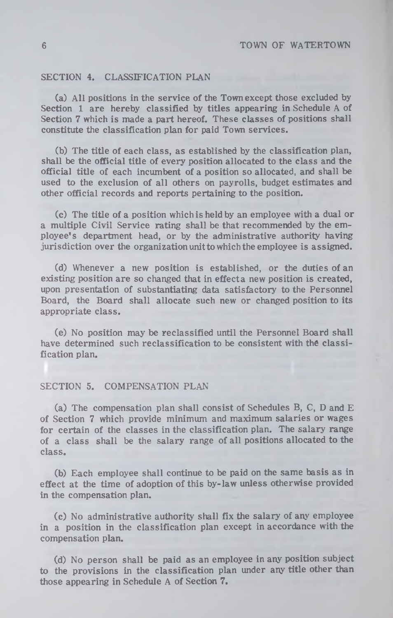### SECTION 4. CLASSIFICATION PLAN

(a) All positions in the service of the Town except those excluded by Section 1 are hereby classified by titles appearing in Schedule A of Section 7 which is made a part hereof. These classes of positions shall constitute the classification plan for paid Town services.

(b) The title of each class, as established by the classification plan, shall be the official title of every position allocated to the class and the official title of each incumbent of a position so allocated, and shall be used to the exclusion of all others on payrolls, budget estimates and other official records and reports pertaining to the position.

(c) The title of a position which is held by an employee with a dual or a multiple Civil Service rating shall be that recommended by the employee's department head, or by the administrative authority having jurisdiction over the organization unitto which the employee is assigned.

(d) Whenever a new position is established, or the duties of an existing position are so changed that in effeeta new position is created, upon presentation of substantiating data satisfactory to the Personnel Board, the Board shall allocate such new or changed position to its appropriate class.

(e) No position may be reclassified until the Personnel Board shall have determined such reclassification to be consistent with the classification plan.

### SECTION 5. COMPENSATION PLAN

(a) The compensation plan shall consist of Schedules B, C, D and E of Section 7 which provide minimum and maximum salaries or wages for certain of the classes in the classification plan. The salary range of a class shall be the salary range of all positions allocated to the class.

(b) Each employee shall continue to be paid on the same basis as in effect at the time of adoption of this by-law unless otherwise provided in the compensation plan.

(c) No administrative authority shall fix the salary of any employee in a position in the classification plan except in accordance with the compensation plan.

(d) No person shall be paid as an employee in any position subject to the provisions in the classification plan under any title other than those appearing in Schedule A of Section 7.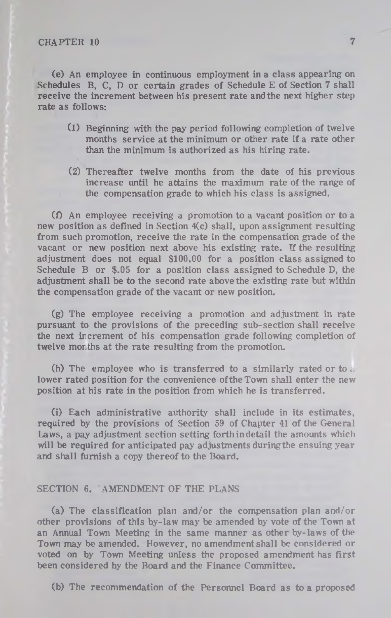(e) An employee in continuous employment in a class appearing on Schedules B, C, D or certain grades of Schedule E of Section 7 shall receive the increment between his present rate and the next higher step rate as follows:

- (1) Beginning with the pay period following completion of twelve months service at the minimum or other rate if a rate other than the minimum is authorized as his hiring rate.
- (2) Thereafter twelve months from the date of his previous increase until he attains the maximum rate of the range of the compensation grade to which his class is assigned.

 $(1)$  An employee receiving a promotion to a vacant position or to a new position as defined in Section 4(c) shall, upon assignment resulting from such promotion, receive the rate in the compensation grade of the vacant or new position next above his existing rate. If the resulting adjustment does not equal \$100.00 for a position class assigned to Schedule B or \$.05 for a position class assigned to Schedule D, the adjustment shall be to the second rate above the existing rate but within the compensation grade of the vacant or new position.

(g) The employee receiving a promotion and adjustment in rate pursuant to the provisions of the preceding sub-section shall receive the next increment of his compensation grade following completion of twelve months at the rate resulting from the promotion.

(h) The employee who is transferred to a similarly rated or to  $t$ . lower rated position for the convenience of the Town shall enter the new position at his rate in the position from which he is transferred.

(i) Each administrative authority shall include in its estimates, required by the provisions of Section 59 of Chapter 41 of the General Laws, a pay adjustment section setting forth in detail the amounts which will be required for anticipated pay adjustments during the ensuing year and shall furnish a copy thereof to the Board.

#### SECTION 6. AMENDMENT OF THE PLANS

(a) The classification plan and/or the compensation plan and/or other provisions of this by-law may be amended by vote of the Town at an Annual Town Meeting in the same manner as other by-laws of the Town may be amended. However, no amendment shall be considered or voted on by Town Meeting unless the proposed amendment has first been considered by the Board and the Finance Committee.

(b) The recommendation of the Personnel Board as to a proposed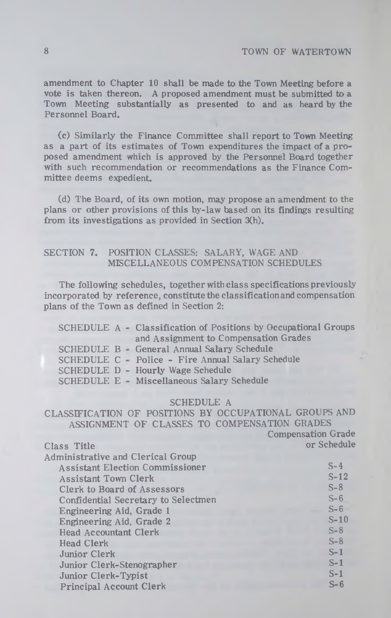## **8 TOWN OF WATERTOWN**

amendment to Chapter 10 shall be made to the Town Meeting before a vote is taken thereon. A proposed amendment must be submitted to a Town Meeting substantially as presented to and as heard by the Personnel Board.

(c) Sim ilarly the Finance Committee shall report to Town Meeting as a part of its estimates of Town expenditures the impact of a proposed amendment which is approved by the Personnel Board together with such recommendation or recommendations as the Finance Committee deems expedient.

(d) The Board, of its own motion, may propose an amendment to the plans or other provisions of this by-law based on its findings resulting from its investigations as provided in Section 3(h).

## SECTION 7. POSITION CLASSES: SALARY, WAGE AND MISCELLANEOUS COMPENSATION SCHEDULES

The following schedules, together with class specifications previously incorporated by reference, constitute the classification and compensation plans of the Town as defined in Section 2:

|  | SCHEDULE A Classification of Positions by Occupational Groups |
|--|---------------------------------------------------------------|
|  | and Assignment to Compensation Grades                         |
|  | SCHEDULE B General Annual Salary Schedule                     |
|  | SCHEDULE C - Police - Fire Annual Salary Schedule             |
|  | SCHEDULE D - Hourly Wage Schedule                             |
|  | SCHEDULE E - Miscellaneous Salary Schedule                    |

#### SCHEDULE A

CLASSIFICATION OF POSITIONS BY OCCUPATIONAL GROUPS AND ASSIGNMENT OF CLASSES TO COMPENSATION GRADES

Compensation Grade

| Class Title                              | or Schedule |
|------------------------------------------|-------------|
| <b>Administrative and Clerical Group</b> |             |
| <b>Assistant Election Commissioner</b>   | $S-4$       |
| <b>Assistant Town Clerk</b>              | $S-12$      |
| Clerk to Board of Assessors              | $S-8$       |
| Confidential Secretary to Selectmen      | $S-6$       |
| Engineering Aid, Grade 1                 | $S-6$       |
| Engineering Aid, Grade 2                 | $S-10$      |
| <b>Head Accountant Clerk</b>             | $S-8$       |
| Head Clerk                               | $S-8$       |
| Junior Clerk                             | $S-1$       |
| Junior Clerk-Stenographer                | $S-1$       |
| Junior Clerk-Typist                      | $S-1$       |
| <b>Principal Account Clerk</b>           | $S-6$       |
|                                          |             |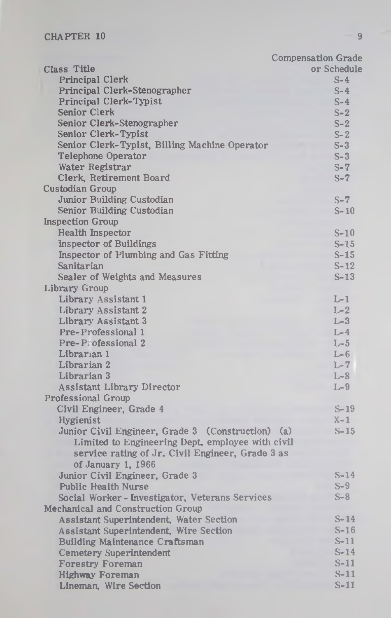|                                                   | <b>Compensation Grade</b> |
|---------------------------------------------------|---------------------------|
| Class Title                                       | or Schedule               |
| Principal Clerk                                   | $S-4$                     |
| Principal Clerk-Stenographer                      | $S-4$                     |
| Principal Clerk-Typist                            | $S-4$                     |
| Senior Clerk                                      | $S-2$                     |
| Senior Clerk-Stenographer                         | $S-2$                     |
| Senior Clerk-Typist                               | $S-2$                     |
| Senior Clerk-Typist, Billing Machine Operator     | $S-3$                     |
| <b>Telephone Operator</b>                         | $S-3$                     |
| Water Registrar                                   | $S-7$                     |
| Clerk, Retirement Board                           | $S-7$                     |
| <b>Custodian Group</b>                            |                           |
| Junior Building Custodian                         | $S - 7$                   |
| Senior Building Custodian                         | $S-10$                    |
| <b>Inspection Group</b>                           |                           |
| <b>Health Inspector</b>                           | $S-10$                    |
| <b>Inspector of Buildings</b>                     | $S-15$                    |
| Inspector of Plumbing and Gas Fitting             | $S-15$                    |
| Sanitarian                                        | $S-12$                    |
| Sealer of Weights and Measures                    | $S-13$                    |
| Library Group                                     |                           |
| Library Assistant 1                               | $L-1$                     |
| Library Assistant 2                               | $L-2$                     |
| Library Assistant 3                               | $L-3$                     |
| Pre-Professional 1                                | $L-4$                     |
| Pre-Pi ofessional 2                               | $L-5$                     |
| Librarian 1                                       | $L-6$                     |
| Librarian 2                                       | $L-7$                     |
| Librarian 3                                       | $L-8$                     |
| <b>Assistant Library Director</b>                 | $L-9$                     |
| <b>Professional Group</b>                         |                           |
| Civil Engineer, Grade 4                           | $S-19$                    |
| Hygienist                                         | $X-1$                     |
| Junior Civil Engineer, Grade 3 (Construction) (a) | $S - 15$                  |
| Limited to Engineering Dept. employee with civil  |                           |
| service rating of Jr. Civil Engineer, Grade 3 as  |                           |
| of January 1, 1966                                |                           |
| Junior Civil Engineer, Grade 3                    | $S-14$                    |
| <b>Public Health Nurse</b>                        | $S-9$                     |
| Social Worker-Investigator, Veterans Services     | $S-8$                     |
| Mechanical and Construction Group                 |                           |
| Assistant Superintendent, Water Section           | $S-14$                    |
| Assistant Superintendent, Wire Section            | $S-16$                    |
| Building Maintenance Craftsman                    | $S-11$                    |
| <b>Cemetery Superintendent</b>                    | $S-14$                    |
| <b>Forestry Foreman</b>                           | $S-11$                    |
| <b>Highway Foreman</b>                            | $S-11$                    |
| Lineman, Wire Section                             | $S-11$                    |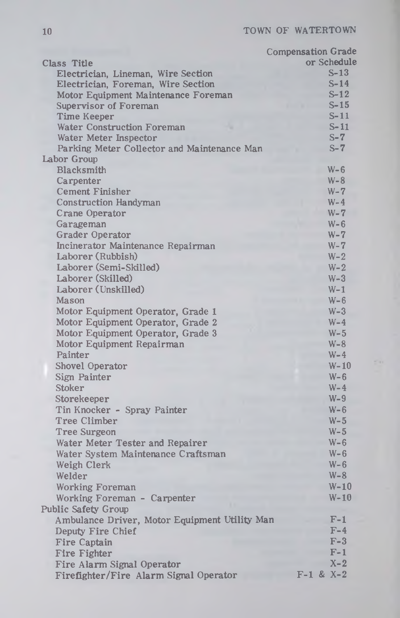|                                               | <b>Compensation Grade</b> |
|-----------------------------------------------|---------------------------|
| Class Title                                   | or Schedule               |
| Electrician, Lineman, Wire Section            | $S-13$                    |
| Electrician, Foreman, Wire Section            | $S-14$                    |
| Motor Equipment Maintenance Foreman           | $S-12$                    |
| Supervisor of Foreman                         | $S-15$                    |
| <b>Time Keeper</b>                            | $S-11$                    |
| <b>Water Construction Foreman</b>             | $S-11$                    |
| Water Meter Inspector                         | $S-7$                     |
| Parking Meter Collector and Maintenance Man   | $S - 7$                   |
| Labor Group                                   |                           |
| Blacksmith                                    | $W - 6$                   |
| Carpenter                                     | $W - 8$                   |
| <b>Cement Finisher</b>                        | $W - 7$                   |
| <b>Construction Handyman</b>                  | $W-4$                     |
| Crane Operator                                | $W - 7$                   |
| Garageman                                     | $W - 6$                   |
| <b>Grader Operator</b>                        | $W - 7$                   |
| Incinerator Maintenance Repairman             | $W - 7$                   |
| Laborer (Rubbish)                             | $W-2$                     |
| Laborer (Semi-Skilled)                        | $W - 2$                   |
| Laborer (Skilled)                             | $W-3$                     |
| Laborer (Unskilled)                           | $W-1$                     |
| Mason                                         | $W - 6$                   |
| Motor Equipment Operator, Grade 1             | $W-3$                     |
| Motor Equipment Operator, Grade 2             | $W-4$                     |
|                                               | $W-5$                     |
| Motor Equipment Operator, Grade 3             |                           |
| Motor Equipment Repairman                     | $W - 8$                   |
| Painter                                       | $W-4$                     |
| Shovel Operator                               | $W-10$                    |
| Sign Painter                                  | $W - 6$                   |
| Stoker                                        | $W-4$                     |
| Storekeeper                                   | $W-9$                     |
| Tin Knocker - Spray Painter                   | $W - 6$                   |
| Tree Climber                                  | $W-5$                     |
| <b>Tree Surgeon</b>                           | $W - 5$                   |
| Water Meter Tester and Repairer               | $W - 6$                   |
| Water System Maintenance Craftsman            | $W - 6$                   |
| Weigh Clerk                                   | $W - 6$                   |
| Welder                                        | $W-8$                     |
| <b>Working Foreman</b>                        | $W-10$                    |
| Working Foreman - Carpenter                   | $W-10$                    |
| Public Safety Group                           |                           |
| Ambulance Driver, Motor Equipment Utility Man | $F-1$                     |
| Deputy Fire Chief                             | $F-4$                     |
| <b>Fire Captain</b>                           | $F-3$                     |
| <b>Fire Fighter</b>                           | F-1                       |
| Fire Alarm Signal Operator                    | $X-2$                     |
| Firefighter/Fire Alarm Signal Operator        | $F-1$ & X-2               |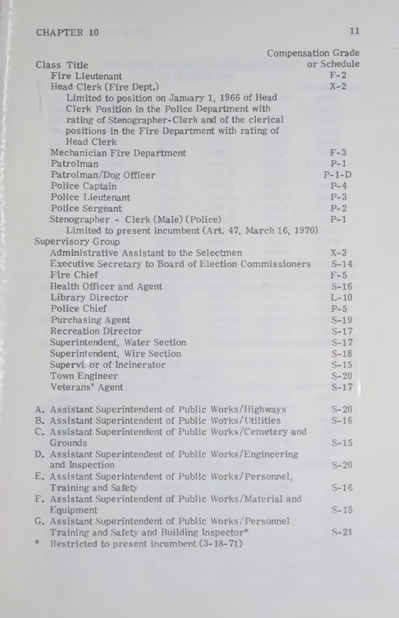|                                                                                                                                                                                                       | <b>Compensation Grade</b> |
|-------------------------------------------------------------------------------------------------------------------------------------------------------------------------------------------------------|---------------------------|
| Class Title                                                                                                                                                                                           | or Schedule               |
| Fire Lieutenant                                                                                                                                                                                       | $F-2$                     |
| Head Clerk (Fire Dept.)                                                                                                                                                                               | $X - 2$                   |
| Limited to position on January 1, 1966 of Head<br>Clerk Position in the Police Department with<br>rating of Stenographer-Clerk and of the clerical<br>positions in the Fire Department with rating of |                           |
| <b>Head Clerk</b><br>Mechanician Fire Department                                                                                                                                                      | $F-3$                     |
| Patrolman                                                                                                                                                                                             | $P-1$                     |
| Patrolman/Dog Officer                                                                                                                                                                                 | $P-1-D$                   |
| Police Captain                                                                                                                                                                                        | $P-4$                     |
| Police Lieutenant                                                                                                                                                                                     | $P-3$                     |
| Police Sergeant                                                                                                                                                                                       | $P-2$                     |
| Stenographer - Clerk (Male) (Police)                                                                                                                                                                  | $P-1$                     |
| Limited to present incumbent (Art. 47, March 16, 1970)                                                                                                                                                |                           |
| Supervisory Group                                                                                                                                                                                     |                           |
| Administrative Assistant to the Selectmen                                                                                                                                                             | $X-3$                     |
| Executive Secretary to Board of Election Commissioners                                                                                                                                                | $S-14$                    |
| Fire Chief                                                                                                                                                                                            | $F-5$                     |
| Health Officer and Agent                                                                                                                                                                              | $S-16$                    |
| Library Director                                                                                                                                                                                      | $L-10$                    |
| Police Chief                                                                                                                                                                                          | $P-5$                     |
| Purchasing Agent                                                                                                                                                                                      | $S-19$                    |
| <b>Recreation Director</b>                                                                                                                                                                            | $S-17$                    |
| Superintendent, Water Section                                                                                                                                                                         | $S-17$                    |
| Superintendent, Wire Section                                                                                                                                                                          | $S-18$                    |
| Supervisor of Incinerator                                                                                                                                                                             | $S-15$                    |
| Town Engineer                                                                                                                                                                                         | $S-20$                    |
| Veterans' Agent                                                                                                                                                                                       | $S-17$                    |
| A. Assistant Superintendent of Public Works/Highways                                                                                                                                                  | $S-20$                    |
| B. Assistant Superintendent of Public Works/Utilities                                                                                                                                                 | $S-16$                    |
| C. Assistant Superintendent of Public Works/Cemetery and                                                                                                                                              |                           |
| Grounds                                                                                                                                                                                               | $S-15$                    |
| D. Assistant Superintendent of Public Works/Engineering                                                                                                                                               |                           |
| and Inspection                                                                                                                                                                                        | $S-20$                    |
| E. Assistant Superintendent of Public Works/Personnel,                                                                                                                                                |                           |
| Training and Safety                                                                                                                                                                                   | $S-16$                    |
| F. Assistant Superintendent of Public Works/Material and                                                                                                                                              |                           |
| Equipment <sup>-</sup>                                                                                                                                                                                | $S - 15$                  |
| G. Assistant Superintendent of Public Works/Personnel                                                                                                                                                 |                           |
| Training and Safety and Building Inspector*                                                                                                                                                           | $S - 21$                  |
| 宋<br>Restricted to present incumbent (3-18-71)                                                                                                                                                        |                           |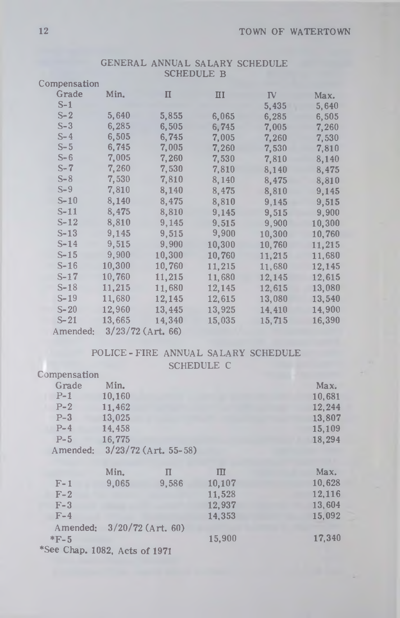| Compensation |        |                     |              |           |        |
|--------------|--------|---------------------|--------------|-----------|--------|
| Grade        | Min.   | $\mathbf{I}$        | $\mathbf{H}$ | <b>IV</b> | Max.   |
| $S-1$        |        |                     |              | 5,435     | 5,640  |
| $S-2$        | 5,640  | 5,855               | 6,065        | 6,285     | 6,505  |
| $S-3$        | 6,285  | 6,505               | 6,745        | 7,005     | 7,260  |
| $S - 4$      | 6,505  | 6,745               | 7,005        | 7,260     | 7,530  |
| $S-5$        | 6,745  | 7,005               | 7,260        | 7,530     | 7,810  |
| $S-6$        | 7,005  | 7,260               | 7,530        | 7,810     | 8,140  |
| $S-7$        | 7,260  | 7,530               | 7,810        | 8,140     | 8,475  |
| $S-8$        | 7,530  | 7,810               | 8,140        | 8,475     | 8,810  |
| $S-9$        | 7,810  | 8,140               | 8,475        | 8,810     | 9,145  |
| $S-10$       | 8,140  | 8,475               | 8,810        | 9,145     | 9,515  |
| $S-11$       | 8,475  | 8,810               | 9,145        | 9,515     | 9,900  |
| $S-12$       | 8,810  | 9,145               | 9.515        | 9,900     | 10,300 |
| $S-13$       | 9,145  | 9,515               | 9,900        | 10,300    | 10,760 |
| $S-14$       | 9,515  | 9,900               | 10,300       | 10,760    | 11,215 |
| $S-15$       | 9,900  | 10,300              | 10,760       | 11,215    | 11,680 |
| $S-16$       | 10,300 | 10,760              | 11,215       | 11,680    | 12,145 |
| $S-17$       | 10,760 | 11,215              | 11,680       | 12,145    | 12,615 |
| $S-18$       | 11,215 | 11,680              | 12,145       | 12,615    | 13,080 |
| $S-19$       | 11,680 | 12,145              | 12,615       | 13,080    | 13,540 |
| $S-20$       | 12,960 | 13,445              | 13,925       | 14,410    | 14,900 |
| $S - 21$     | 13,665 | 14,340              | 15,035       | 15,715    | 16,390 |
| Amended:     |        | $3/23/72$ (Art. 66) |              |           |        |

## GENERAL ANNUAL SALARY SCHEDULE SCHEDULE B

| POLICE-FIRE ANNUAL SALARY SCHEDULE |                   |  |
|------------------------------------|-------------------|--|
|                                    | <b>SCHEDULE C</b> |  |

| Compensation                  |        |                        |        |        |
|-------------------------------|--------|------------------------|--------|--------|
| Grade                         | Min.   |                        |        | Max.   |
| $P-1$                         | 10,160 |                        |        | 10,681 |
| $P-2$                         | 11,462 |                        |        | 12,244 |
| $P-3$                         | 13,025 |                        |        | 13,807 |
| $P-4$                         | 14.458 |                        |        | 15,109 |
| $P-5$                         | 16,775 |                        |        | 18,294 |
| Amended:                      |        | $3/23/72$ (Art. 55-58) |        |        |
|                               |        |                        |        |        |
|                               | Min.   | п                      | III    | Max.   |
| $F-1$                         | 9,065  | 9.586                  | 10,107 | 10,628 |
| $F-2$                         |        |                        | 11,528 | 12,116 |
| $F-3$                         |        |                        | 12,937 | 13,604 |
| $F-4$                         |        |                        | 14,353 | 15,092 |
| Amended:                      |        | $3/20/72$ (Art. 60)    |        |        |
| $*F-5$                        |        |                        | 15,900 | 17,340 |
| *See Chap. 1082, Acts of 1971 |        |                        |        |        |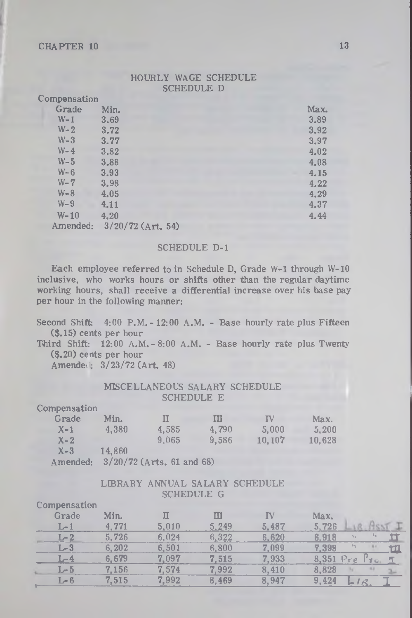### HOURLY WAGE SCHEDULE SCHEDULE D

| Compensation |                     |      |
|--------------|---------------------|------|
| Grade        | Min.                | Max. |
| $W-1$        | 3.69                | 3.89 |
| $W - 2$      | 3.72                | 3.92 |
| $W-3$        | 3.77                | 3.97 |
| $W - 4$      | 3.82                | 4.02 |
| $W-5$        | 3.88                | 4,08 |
| $W - 6$      | 3.93                | 4.15 |
| $W - 7$      | 3.98                | 4.22 |
| $W - 8$      | 4.05                | 4.29 |
| $W - 9$      | 4.11                | 4.37 |
| $W - 10$     | 4.20                | 4.44 |
| Amended:     | $3/20/72$ (Art. 54) |      |
|              |                     |      |

#### SCHEDULE D-l

Each employee referred to in Schedule D, Grade W-l through W-10 inclusive, who works hours or shifts other than the regular daytime working hours, shall receive a differential increase over his base pay per hour in the following manner:

Second Shift: 4:00 P.M. - 12:00 A.M. - Base hourly rate plus Fifteen (\$.15) cents per hour

Third Shift: 12:00 A.M.-8:00 A.M. - Base hourly rate plus Twenty' (\$.20) cents per hour

Amended:  $3/23/72$  (Art. 48)

#### MISCELLANEOUS SALARY SCHEDULE SCHEDULE E

| Compensation |        |                             |       |           |        |
|--------------|--------|-----------------------------|-------|-----------|--------|
| Grade        | Min.   | П                           | Ш     | <b>IV</b> | Max.   |
| $X-1$        | 4.380  | 4.585                       | 4.790 | 5.000     | 5.200  |
| $X - 2$      |        | 9.065                       | 9.586 | 10, 107   | 10.628 |
| $X - 3$      | 14.860 |                             |       |           |        |
| Amended:     |        | $3/20/72$ (Arts. 61 and 68) |       |           |        |

### LIBRARY ANNUAL SALARY SCHEDULE SCHEDULE G

| Compensation |       |       |       |       |                         |
|--------------|-------|-------|-------|-------|-------------------------|
| Grade        | Min.  |       | Ш     | ΓV    | Max.                    |
| $1 - 1$      | 4.771 | 5.010 | 5.249 | 5,487 | 5.726                   |
| $L-2$        | 5,726 | 6.024 | 6.322 | 6.620 | 6.918                   |
| $L - 3$      | 6.202 | 6.501 | 6.800 | 7.099 | 7,398                   |
|              | 6.679 | 7.097 | 7.515 | 7.933 | 8,351<br>$P_{YQ}$<br>Æ. |
| $L-5$        | 7.156 | 7.574 | 7.992 | 8.410 | 8.828                   |
| I – 6        | 7.515 | 7.992 | 8.469 | 8.947 | 9.424                   |
|              |       |       |       |       |                         |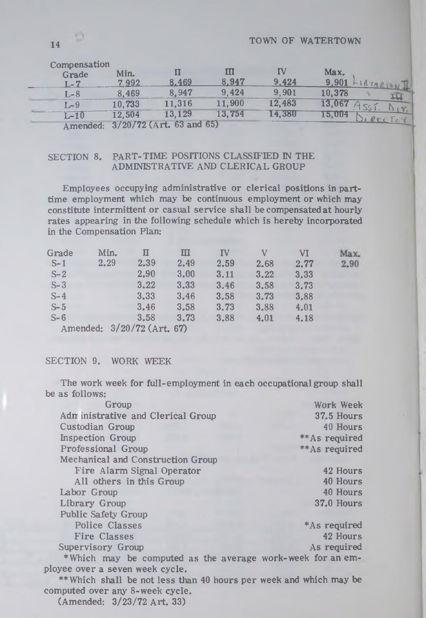| Compensation<br>Grade<br>ī .– 7                  | Min.<br>7992              | 8.469         | 8.947  | 9.424  | Max.<br>9.901 |
|--------------------------------------------------|---------------------------|---------------|--------|--------|---------------|
| r .– 8                                           | 8.469                     | 8.947         | 9.424  | 9.901  | 10,378        |
| $-9$                                             | 10,733                    | 11.316        | 11.900 | 12.483 | 13.067        |
| L-10                                             | 12,504                    | 13.129        | 13,754 | 14.380 | 15,004        |
| $\sim$ $\sim$ $\sim$ $\sim$ $\sim$ $\sim$ $\sim$ | $0$ /00 /770 $\ell$ A set | $C2$ and $C5$ |        |        |               |

Amended: 3/20/72 (Art. 63 and 65)

## SECTION 8. PART-TIME POSITIONS CLASSIFIED IN THE ADMINISTRATIVE AND CLERICAL GROUP

Employees occupying adm inistrative or clerical positions in parttime employment which may be continuous employment or which may constitute intermittent or casual service shall be compensated at hourly rates appearing in the following schedule which is hereby incorporated in the Compensation Plan:

| Grade | Min.                       | п    | ш    | ΙV   | V    | VI   | Max. |
|-------|----------------------------|------|------|------|------|------|------|
| $S-1$ | 2.29                       | 2.39 | 2.49 | 2.59 | 2.68 | 2.77 | 2.90 |
| $S-2$ |                            | 2,90 | 3.00 | 3.11 | 3.22 | 3,33 |      |
| $S-3$ |                            | 3.22 | 3.33 | 3.46 | 3.58 | 3.73 |      |
| $S-4$ |                            | 3.33 | 3.46 | 3.58 | 3.73 | 3.88 |      |
| $S-5$ |                            | 3.46 | 3.58 | 3.73 | 3.88 | 4.01 |      |
| $S-6$ |                            | 3.58 | 3.73 | 3.88 | 4.01 | 4.18 |      |
|       | Amended: 3/20/72 (Art. 67) |      |      |      |      |      |      |

### SECTION 9. WORK WEEK

The work week for full-employment in each occupational group shall be as follows:

| Group                                                              | Work Week      |
|--------------------------------------------------------------------|----------------|
| Adm inistrative and Clerical Group                                 | 37.5 Hours     |
| Custodian Group                                                    | 40 Hours       |
| <b>Inspection Group</b>                                            | ** As required |
| Professional Group                                                 | ** As required |
| Mechanical and Construction Group                                  |                |
| Fire Alarm Signal Operator                                         | 42 Hours       |
| All others in this Group                                           | 40 Hours       |
| Labor Group                                                        | 40 Hours       |
| Library Group                                                      | 37.0 Hours     |
| <b>Public Safety Group</b>                                         |                |
| <b>Police Classes</b>                                              | *As required   |
| Fire Classes                                                       | 42 Hours       |
| Supervisory Group                                                  | As required    |
| *Which may be computed as the average work-week for an em-         |                |
| ployee over a seven week cycle.                                    |                |
| ** Which shall be not less than 40 hours per week and which may be |                |
| computed over any 8-week cycle.                                    |                |
| (Amended: 3/23/72 Art. 33)                                         |                |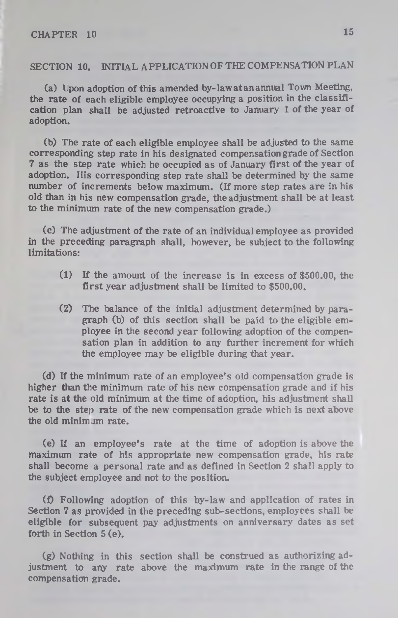## **SECTION 10. INITIAL APPLICATION OF THE COMPENSATION PLAN**

(a) Upon adoption of this amended by-law at an annual Town Meeting, the rate of each eligible employee occupying a position in the classification plan shall be adjusted retroactive to January 1 of the year of adoption.

(b) The rate of each eligible employee shall be adjusted to the same corresponding step rate in his designated compensation grade of Section 7 as the step rate which he occupied as of January first of the year of adoption. His corresponding step rate shall be determined by the same number of increments below maximum. (If more step rates are in his old than in his new compensation grade, the adjustment shall be at least to the minimum rate of the new compensation grade.)

(c) The adjustment of the rate of an individual employee as provided in the preceding paragraph shall, however, be subject to the following limitations:

- (1) If the amount of the increase is in excess of \$500.00, the first year adjustment shall be limited to \$500.00.
- (2) The balance of the initial adjustment determined by paragraph (b) of this section shall be paid to the eligible employee in the second year following adoption of the compensation plan in addition to any further increment for which the employee may be eligible during that year.

(d) If the minimum rate of an employee's old compensation grade is higher than the minimum rate of his new compensation grade and if his rate is at the old minimum at the time of adoption, his adjustment shall be to the step rate of the new compensation grade which is next above the old minimum rate.

(e) If an employee's rate at the time of adoption is above the maximum rate of his appropriate new compensation grade, his rate shall become a personal rate and as defined in Section 2 shall apply to the subject employee and not to the position.

(0 Following adoption of this by-law and application of rates in Section 7 as provided in the preceding sub-sections, employees shall be eligible for subsequent pay adjustments on anniversary dates as set forth in Section 5 (e).

(g) Nothing in this section shall be construed as authorizing adjustment to any rate above the maximum rate in the range of the compensation grade.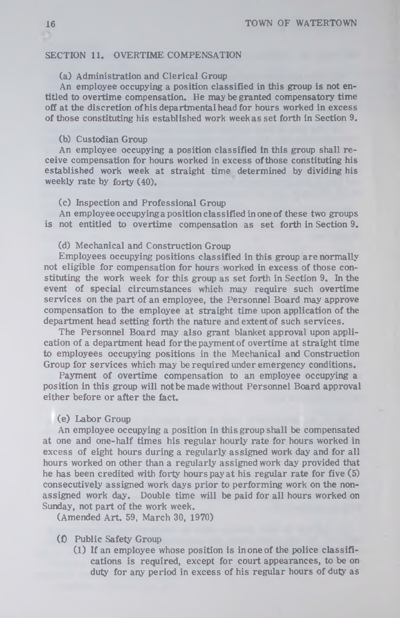### **SECTION 11. OVERTIME COMPENSATION**

## (a) Administration and Clerical Group

An employee occupying a position classified in this group is not entitled to overtime compensation. He may be granted compensatory time off at the discretion of his departmental head for hours worked in excess of those constituting his established work week as set forth in Section 9.

### (b) Custodian Group

An employee occupying a position classified in this group shall re ceive compensation for hours worked in excess ofthose constituting his established work week at straight time determined by dividing his weekly rate by forty (40).

### (c) Inspection and Professional Group

An employee occupyinga position classified in one of these two groups is not entitled to overtime compensation as set forth in Section 9.

#### (d) Mechanical and Construction Group

Employees occupying positions classified in this group are normally not eligible for compensation for hours worked in excess of those constituting the work week for this group as set forth in Section 9. In the event of special circum stances which may require such overtime services on the part of an employee, the Personnel Board may approve compensation to the employee at straight time upon application of the department head setting forth the nature and extent of such services.

The Personnel Board may also grant blanket approval upon application of a department head for the payment of overtime at straight time to employees occupying positions in the Mechanical and Construction Group for services which may be required under emergency conditions.

Payment of overtime compensation to an employee occupying a position in this group will not be made without Personnel Board approval either before or after the fact.

### (e) Labor Group

An employee occupying a position in this group shall be compensated at one and one-half times his regular hourly rate for hours worked in excess of eight hours during a regularly assigned work day and for all hours worked on other than a regularly assigned work day provided that he has been credited with forty hours pay at his regular rate for five  $(5)$ consecutively assigned work days prior to performing work on the nonassigned work day. Double time will be paid for all hours worked on Sunday, not part of the work week.

(Amended Art. 59, March 30, 1970)

#### (f) Public Safety Group

(1) If an employee whose position is in one of the police classifications is required, except for court appearances, to be on duty for any period in excess of his regular hours of duty as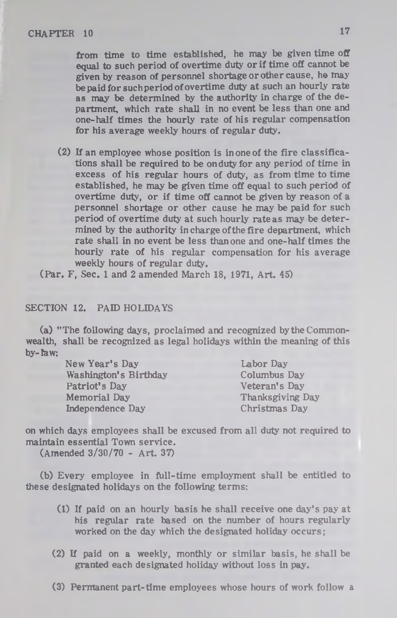from time to time established, he may be given time off equal to such period of overtime duty or if time off cannot be given by reason of personnel shortage or other cause, he may be paid for suchperiod of overtime duty at such an hourly rate as may be determined by the authority in charge of the department, which rate shall in no event be less than one and one-half times the hourly rate of his regular compensation for his average weekly hours of regular duty.

(2) If an employee whose position is in one of the fire classifications shall be required to be on duty for any period of time in excess of his regular hours of duty, as from time to time established, he may be given time off equal to such period of overtime duty, or if time off cannot be given by reason of a personnel shortage or other cause he may be paid for such period of overtime duty at such hourly rateas may be determined by the authority in charge ofthe fire department, which rate shall in no event be less than one and one-half times the hourly rate of his regular compensation for his average weekly hours of regular duty.

(Par. F, Sec. 1 and 2 amended March 18, 1971, Art. 45)

#### SECTION 12. PAID HOLIDAYS

(a) "The following days, proclaimed and recognized by the Commonwealth, shall be recognized as legal holidays within the meaning of this  $bv$ - $\hbar$ aw:

> New Year's Day Labor Day Washington's Birthday Patriot's Day Memorial Day Independence Day

Columbus Day Veteran's Day Thanksgiving Day Christmas Day

on which days employees shall be excused from all duty not required to maintain essential Town service.

(Amended 3/30/70 - Art. 37)

(b) Every employee in full-time employment shall be entitled to these designated holidays on the following terms:

- (1) If paid on an hourly basis he shall receive one day's pay at his regular rate based on the number of hours regularly worked on the day which the designated holiday occurs;
- (2) If paid on a weekly, monthly or similar basis, he shall be granted each designated holiday without loss in pay.
- (3) Permanent part-time employees whose hours of work follow a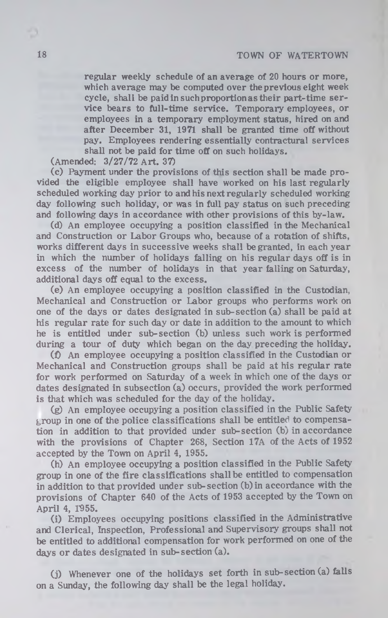regular weekly schedule of an average of 20 hours or more, which average may be computed over the previous eight week cycle, shall be paid in such proportion as their part-time service bears to full-time service. Temporary employees, or employees in a temporary employment status, hired on and after December 31, 1971 shall be granted time off without pay. Employees rendering essentially contractural services shall not be paid for time off on such holidays.

(Amended: 3/27/72 A rt. 37)

(c) Payment under the provisions of this section shall be made provided the eligible employee shall have worked on his last regularly scheduled working day prior to and his next regularly scheduled working day following such holiday, or was in full pay status on such preceding and following days in accordance with other provisions of this by-law.

(d) An employee occupying a position classified in the Mechanical and Construction or Labor Groups who, because of a rotation of shifts, works different days in successive weeks shall be granted, in each year in which the number of holidays falling on his regular days off is in excess of the number of holidays in that year falling on Saturday, additional days off equal to the excess.

(e) An employee occupying a position classified in the Custodian, Mechanical and Construction or Labor groups who performs work on one of the days or dates designated in sub-section (a) shall be paid at his regular rate for such day or date in addition to the amount to which he is entitled under sub-section (b) unless such work is performed during a tour of duty which began on the day preceding the holiday.

(£) An employee occupying a position classified in the Custodian or Mechanical and Construction groups shall be paid at his regular rate for work performed on Saturday of a week in which one of the days or dates designated in subsection (a) occurs, provided the work performed is that which was scheduled for the day of the holiday.

(g) An employee occupying a position classified in the Public Safety  $g$ roup in one of the police classifications shall be entitled to compensation in addition to that provided under sub-section (b) in accordance with the provisions of Chapter 268, Section 17A of the Acts of 1952 accepted by the Town on April 4, 1955.

(h) An employee occupying a position classified in the Public Safety group in one of the fire classifications shall be entitled to compensation in addition to that provided under sub-section (b)in accordance with the provisions of Chapter 640 of the Acts of 1953 accepted by the Town on April 4, 1955.

(i) Employees occupying positions classified in the Administrative and Clerical, Inspection, Professional and Supervisory groups shall not be entitled to additional compensation for work performed on one of the days or dates designated in sub-section  $(a)$ .

(j) Whenever one of the holidays set forth in sub- section (a) falls on a Sunday, the following day shall be the legal holiday.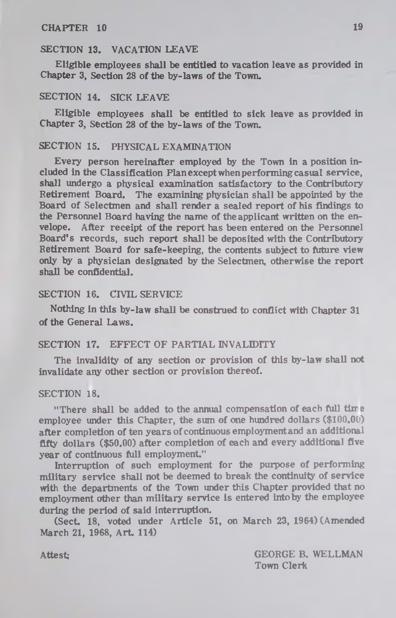#### **SECTION 13. VACATION LEAVE**

Eligible employees shall be entitled to vacation leave as provided in Chapter 3, Section 28 of the by-laws of the Town.

#### SECTION 14. SICK LEAVE

Eligible employees shall be entitled to sick leave as provided in Chapter 3, Section 28 of the by-laws of the Town.

#### SECTION 15. PHYSICAL EXAMINATION

Every person hereinafter employed by the Town in a position included in the Classification Plan except when performing casual service, shall undergo a physical examination satisfactory to the Contributory Retirement Board. The examining physician shall be appointed by the Board of Selectmen and shall render a sealed report of his findings to the Personnel Board having the name of the applicant written on the envelope. After receipt of the report has been entered on the Personnel Board's records, such report shall be deposited with the Contributory Retirement Board for safe-keeping, the contents subject to future view only by a physician designated by the Selectmen, otherwise the report shall be confidential.

#### SECTION 16. CIVIL SERVICE

Nothing in this by-law shall be construed to conflict with Chapter 31 of the General Laws.

#### SECTION 17. EFFECT OF PARTIAL INVALIDITY

The invalidity of any section or provision of this by-law shall not invalidate any other section or provision thereof.

#### SECTION 18.

"There shall be added to the annual compensation of each full time employee under this Chapter, the sum of one hundred dollars **(\$**100**.**00**)** after completion of ten years of continuous employmentand an additional fifty dollars (\$50.00) after completion of each and every additional five year of continuous full employment,"

Interruption of such employment for the purpose of performing military service shall not be deemed to break the continuity of service with the departments of the Town under this Chapter provided that no employment other than military service is entered into by the employee during the period of said interruption.

(Sect. 18, voted under Article 51, on March 23, 1964) (Amended March 21, 1968, Art. 114)

Attest; GEORGE B. WELLMAN Town Clerk